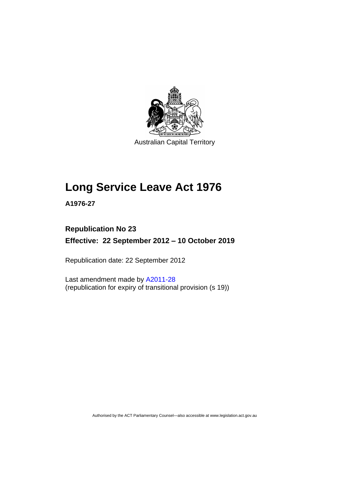

Australian Capital Territory

# **Long Service Leave Act 1976**

**A1976-27**

# **Republication No 23**

**Effective: 22 September 2012 – 10 October 2019**

Republication date: 22 September 2012

Last amendment made by [A2011-28](http://www.legislation.act.gov.au/a/2011-28) (republication for expiry of transitional provision (s 19))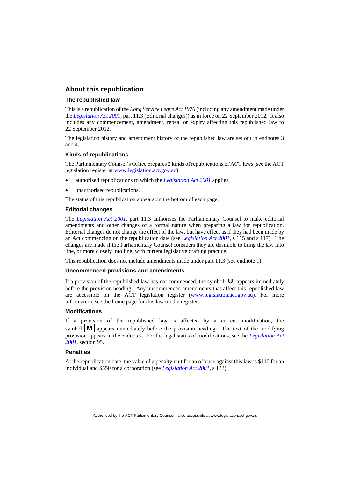# **About this republication**

#### **The republished law**

This is a republication of the *Long Service Leave Act 1976* (including any amendment made under the *[Legislation Act 2001](http://www.legislation.act.gov.au/a/2001-14)*, part 11.3 (Editorial changes)) as in force on 22 September 2012*.* It also includes any commencement, amendment, repeal or expiry affecting this republished law to 22 September 2012.

The legislation history and amendment history of the republished law are set out in endnotes 3 and 4.

#### **Kinds of republications**

The Parliamentary Counsel's Office prepares 2 kinds of republications of ACT laws (see the ACT legislation register at [www.legislation.act.gov.au\)](http://www.legislation.act.gov.au/):

- authorised republications to which the *[Legislation Act 2001](http://www.legislation.act.gov.au/a/2001-14)* applies
- unauthorised republications.

The status of this republication appears on the bottom of each page.

#### **Editorial changes**

The *[Legislation Act 2001](http://www.legislation.act.gov.au/a/2001-14)*, part 11.3 authorises the Parliamentary Counsel to make editorial amendments and other changes of a formal nature when preparing a law for republication. Editorial changes do not change the effect of the law, but have effect as if they had been made by an Act commencing on the republication date (see *[Legislation Act 2001](http://www.legislation.act.gov.au/a/2001-14)*, s 115 and s 117). The changes are made if the Parliamentary Counsel considers they are desirable to bring the law into line, or more closely into line, with current legislative drafting practice.

This republication does not include amendments made under part 11.3 (see endnote 1).

#### **Uncommenced provisions and amendments**

If a provision of the republished law has not commenced, the symbol  $\mathbf{U}$  appears immediately before the provision heading. Any uncommenced amendments that affect this republished law are accessible on the ACT legislation register [\(www.legislation.act.gov.au\)](http://www.legislation.act.gov.au/). For more information, see the home page for this law on the register.

#### **Modifications**

If a provision of the republished law is affected by a current modification, the symbol  $\mathbf{M}$  appears immediately before the provision heading. The text of the modifying provision appears in the endnotes. For the legal status of modifications, see the *[Legislation Act](http://www.legislation.act.gov.au/a/2001-14)  [2001](http://www.legislation.act.gov.au/a/2001-14)*, section 95.

#### **Penalties**

At the republication date, the value of a penalty unit for an offence against this law is \$110 for an individual and \$550 for a corporation (see *[Legislation Act 2001](http://www.legislation.act.gov.au/a/2001-14)*, s 133).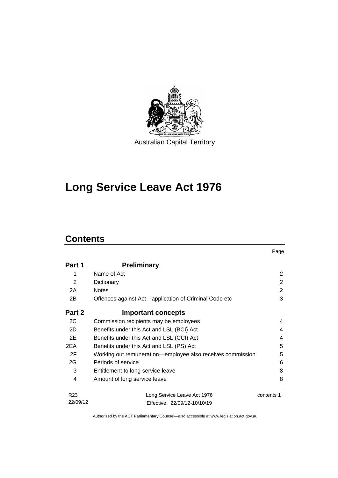

# **Long Service Leave Act 1976**

# **Contents**

|                 |                                                            | Page       |
|-----------------|------------------------------------------------------------|------------|
| Part 1          | <b>Preliminary</b>                                         |            |
| 1               | Name of Act                                                | 2          |
| 2               | Dictionary                                                 | 2          |
| 2A              | <b>Notes</b>                                               | 2          |
| 2B              | Offences against Act—application of Criminal Code etc      | 3          |
| Part 2          | <b>Important concepts</b>                                  |            |
| 2C              | Commission recipients may be employees                     | 4          |
| 2D              | Benefits under this Act and LSL (BCI) Act                  | 4          |
| 2E              | Benefits under this Act and LSL (CCI) Act                  | 4          |
| 2EA             | Benefits under this Act and LSL (PS) Act                   | 5          |
| 2F              | Working out remuneration-employee also receives commission | 5          |
| 2G              | Periods of service                                         | 6          |
| 3               | Entitlement to long service leave                          | 8          |
| 4               | Amount of long service leave                               | 8          |
| R <sub>23</sub> | Long Service Leave Act 1976                                | contents 1 |
| 22/09/12        | Fffective: 22/09/12-10/10/19                               |            |

Authorised by the ACT Parliamentary Counsel—also accessible at www.legislation.act.gov.au

Effective: 22/09/12-10/10/19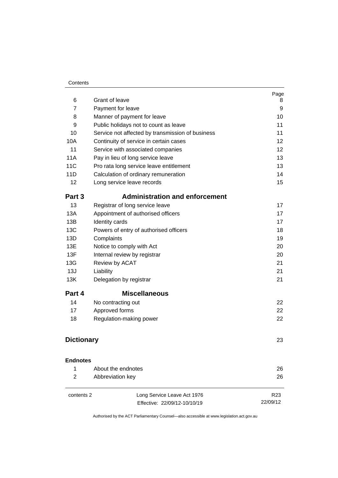#### **Contents**

| 6                 | Grant of leave                                              | Page<br>8                   |
|-------------------|-------------------------------------------------------------|-----------------------------|
| 7                 | Payment for leave                                           | 9                           |
| 8                 | Manner of payment for leave                                 | 10                          |
| 9                 | Public holidays not to count as leave                       | 11                          |
| 10                | Service not affected by transmission of business            | 11                          |
| 10A               | Continuity of service in certain cases                      | 12                          |
| 11                | Service with associated companies                           | 12                          |
| <b>11A</b>        | Pay in lieu of long service leave                           | 13                          |
| 11 <sub>C</sub>   | Pro rata long service leave entitlement                     | 13                          |
| 11D               | Calculation of ordinary remuneration                        | 14                          |
| 12                | Long service leave records                                  | 15                          |
| Part 3            | <b>Administration and enforcement</b>                       |                             |
| 13                | Registrar of long service leave                             | 17                          |
| 13A               | Appointment of authorised officers                          | 17                          |
| 13B               | Identity cards                                              | 17                          |
| 13C               | Powers of entry of authorised officers                      | 18                          |
| 13D               | Complaints                                                  | 19                          |
| 13E               | Notice to comply with Act                                   | 20                          |
| 13F               | Internal review by registrar                                | 20                          |
| 13G               | Review by ACAT                                              | 21                          |
| 13J               | Liability                                                   | 21                          |
| 13K               | Delegation by registrar                                     | 21                          |
| Part 4            | <b>Miscellaneous</b>                                        |                             |
| 14                | No contracting out                                          | 22                          |
| 17                | Approved forms                                              | 22                          |
| 18                | Regulation-making power                                     | 22                          |
| <b>Dictionary</b> | 23                                                          |                             |
| <b>Endnotes</b>   |                                                             |                             |
| 1                 | About the endnotes                                          | 26                          |
| 2                 | Abbreviation key                                            | 26                          |
| contents 2        | Long Service Leave Act 1976<br>Effective: 22/09/12-10/10/19 | R <sub>23</sub><br>22/09/12 |
|                   |                                                             |                             |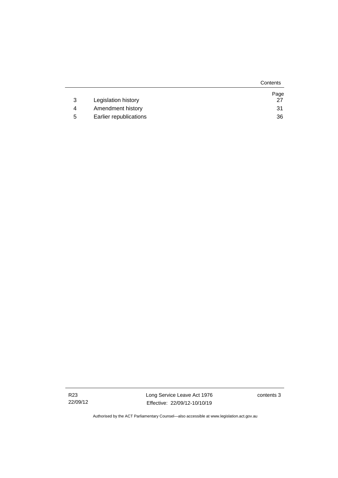|   |                        | Contents |
|---|------------------------|----------|
|   |                        | Page     |
| 3 | Legislation history    | 27       |
| Δ | Amendment history      | 31       |
| 5 | Earlier republications | 36       |

R23 22/09/12 Long Service Leave Act 1976 Effective: 22/09/12-10/10/19 contents 3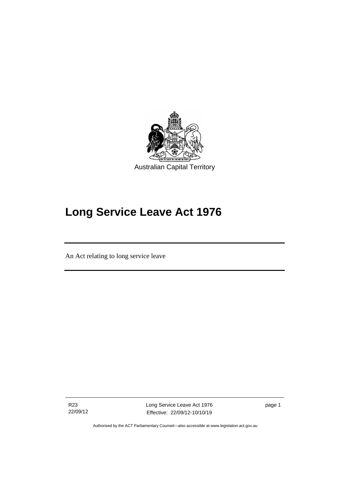

# **Long Service Leave Act 1976**

An Act relating to long service leave

R23 22/09/12

I

Long Service Leave Act 1976 Effective: 22/09/12-10/10/19

page 1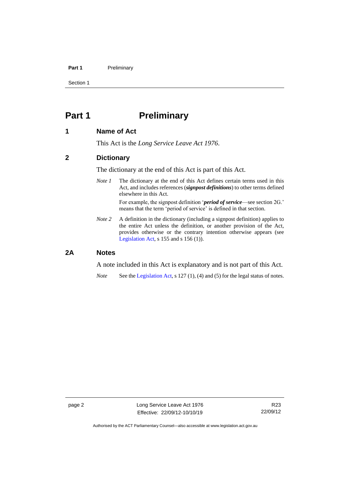#### **Part 1** Preliminary

Section 1

# <span id="page-7-0"></span>**Part 1 Preliminary**

# <span id="page-7-1"></span>**1 Name of Act**

This Act is the *Long Service Leave Act 1976*.

# <span id="page-7-2"></span>**2 Dictionary**

The dictionary at the end of this Act is part of this Act.

*Note 1* The dictionary at the end of this Act defines certain terms used in this Act, and includes references (*signpost definitions*) to other terms defined elsewhere in this Act.

> For example, the signpost definition '*period of service*—see section 2G.' means that the term 'period of service' is defined in that section.

*Note 2* A definition in the dictionary (including a signpost definition) applies to the entire Act unless the definition, or another provision of the Act, provides otherwise or the contrary intention otherwise appears (see [Legislation Act,](http://www.legislation.act.gov.au/a/2001-14) s 155 and s 156 (1)).

# <span id="page-7-3"></span>**2A Notes**

A note included in this Act is explanatory and is not part of this Act.

*Note* See the [Legislation Act,](http://www.legislation.act.gov.au/a/2001-14) s 127 (1), (4) and (5) for the legal status of notes.

Authorised by the ACT Parliamentary Counsel—also accessible at www.legislation.act.gov.au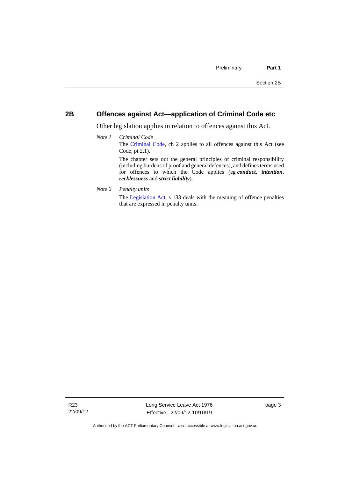# <span id="page-8-0"></span>**2B Offences against Act—application of Criminal Code etc**

Other legislation applies in relation to offences against this Act.

- *Note 1 Criminal Code* The [Criminal Code,](http://www.legislation.act.gov.au/a/2002-51) ch 2 applies to all offences against this Act (see Code, pt 2.1). The chapter sets out the general principles of criminal responsibility (including burdens of proof and general defences), and defines terms used for offences to which the Code applies (eg *conduct*, *intention*, *recklessness* and *strict liability*).
- *Note 2 Penalty units*

The [Legislation Act,](http://www.legislation.act.gov.au/a/2001-14) s 133 deals with the meaning of offence penalties that are expressed in penalty units.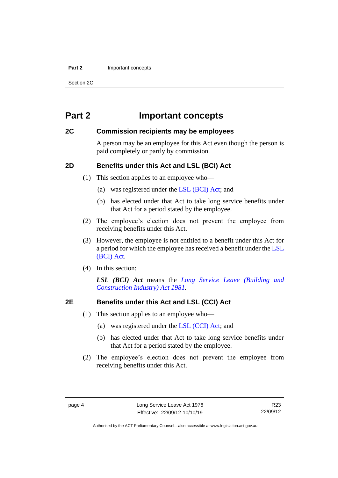#### **Part 2** Important concepts

Section 2C

# <span id="page-9-0"></span>**Part 2 Important concepts**

# <span id="page-9-1"></span>**2C Commission recipients may be employees**

A person may be an employee for this Act even though the person is paid completely or partly by commission.

# <span id="page-9-2"></span>**2D Benefits under this Act and LSL (BCI) Act**

(1) This section applies to an employee who—

- (a) was registered under the [LSL \(BCI\) Act;](http://www.legislation.act.gov.au/a/1981-23/default.asp) and
- (b) has elected under that Act to take long service benefits under that Act for a period stated by the employee.
- (2) The employee's election does not prevent the employee from receiving benefits under this Act.
- (3) However, the employee is not entitled to a benefit under this Act for a period for which the employee has received a benefit under the [LSL](http://www.legislation.act.gov.au/a/1981-23/default.asp)  [\(BCI\) Act.](http://www.legislation.act.gov.au/a/1981-23/default.asp)
- (4) In this section:

*LSL (BCI) Act* means the *[Long Service Leave \(Building and](http://www.legislation.act.gov.au/a/1981-23)  [Construction Industry\) Act 1981.](http://www.legislation.act.gov.au/a/1981-23)*

# <span id="page-9-3"></span>**2E Benefits under this Act and LSL (CCI) Act**

- (1) This section applies to an employee who—
	- (a) was registered under the [LSL \(CCI\) Act;](http://www.legislation.act.gov.au/a/1999-85/default.asp) and
	- (b) has elected under that Act to take long service benefits under that Act for a period stated by the employee.
- (2) The employee's election does not prevent the employee from receiving benefits under this Act.

R23 22/09/12

Authorised by the ACT Parliamentary Counsel—also accessible at www.legislation.act.gov.au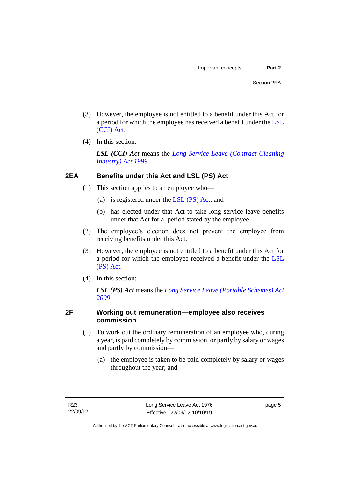- (3) However, the employee is not entitled to a benefit under this Act for a period for which the employee has received a benefit under the [LSL](http://www.legislation.act.gov.au/a/1999-85/default.asp)  [\(CCI\) Act.](http://www.legislation.act.gov.au/a/1999-85/default.asp)
- (4) In this section:

*LSL (CCI) Act* means the *[Long Service Leave \(Contract Cleaning](http://www.legislation.act.gov.au/a/1999-85)  [Industry\) Act 1999.](http://www.legislation.act.gov.au/a/1999-85)*

# <span id="page-10-0"></span>**2EA Benefits under this Act and LSL (PS) Act**

- (1) This section applies to an employee who—
	- (a) is registered under the [LSL \(PS\) Act;](http://www.legislation.act.gov.au/a/2009-25/default.asp) and
	- (b) has elected under that Act to take long service leave benefits under that Act for a period stated by the employee.
- (2) The employee's election does not prevent the employee from receiving benefits under this Act.
- (3) However, the employee is not entitled to a benefit under this Act for a period for which the employee received a benefit under the [LSL](http://www.legislation.act.gov.au/a/2009-25/default.asp)  [\(PS\) Act.](http://www.legislation.act.gov.au/a/2009-25/default.asp)
- (4) In this section:

*LSL (PS) Act* means the *[Long Service Leave \(Portable Schemes\) Act](http://www.legislation.act.gov.au/a/2009-25)  [2009](http://www.legislation.act.gov.au/a/2009-25)*.

# <span id="page-10-1"></span>**2F Working out remuneration—employee also receives commission**

- (1) To work out the ordinary remuneration of an employee who, during a year, is paid completely by commission, or partly by salary or wages and partly by commission—
	- (a) the employee is taken to be paid completely by salary or wages throughout the year; and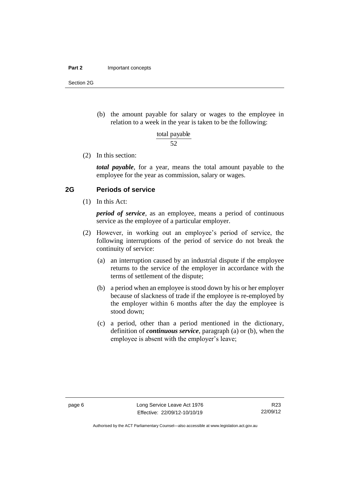#### **Part 2** Important concepts

Section 2G

(b) the amount payable for salary or wages to the employee in relation to a week in the year is taken to be the following:

> 52 total payable

(2) In this section:

*total payable*, for a year, means the total amount payable to the employee for the year as commission, salary or wages.

# <span id="page-11-0"></span>**2G Periods of service**

(1) In this Act:

*period of service*, as an employee, means a period of continuous service as the employee of a particular employer.

- (2) However, in working out an employee's period of service, the following interruptions of the period of service do not break the continuity of service:
	- (a) an interruption caused by an industrial dispute if the employee returns to the service of the employer in accordance with the terms of settlement of the dispute;
	- (b) a period when an employee is stood down by his or her employer because of slackness of trade if the employee is re-employed by the employer within 6 months after the day the employee is stood down;
	- (c) a period, other than a period mentioned in the dictionary, definition of *continuous service*, paragraph (a) or (b), when the employee is absent with the employer's leave;

Authorised by the ACT Parliamentary Counsel—also accessible at www.legislation.act.gov.au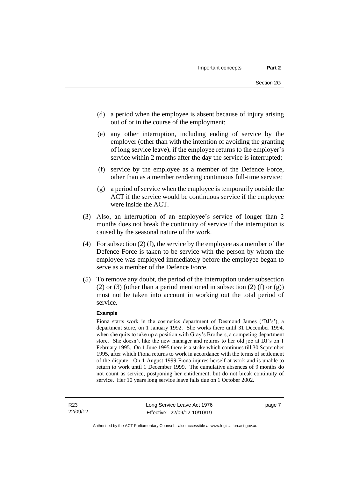- (d) a period when the employee is absent because of injury arising out of or in the course of the employment;
- (e) any other interruption, including ending of service by the employer (other than with the intention of avoiding the granting of long service leave), if the employee returns to the employer's service within 2 months after the day the service is interrupted;
- (f) service by the employee as a member of the Defence Force, other than as a member rendering continuous full-time service;
- (g) a period of service when the employee is temporarily outside the ACT if the service would be continuous service if the employee were inside the ACT.
- (3) Also, an interruption of an employee's service of longer than 2 months does not break the continuity of service if the interruption is caused by the seasonal nature of the work.
- (4) For subsection (2) (f), the service by the employee as a member of the Defence Force is taken to be service with the person by whom the employee was employed immediately before the employee began to serve as a member of the Defence Force.
- (5) To remove any doubt, the period of the interruption under subsection (2) or (3) (other than a period mentioned in subsection (2) (f) or (g)) must not be taken into account in working out the total period of service.

#### **Example**

Fiona starts work in the cosmetics department of Desmond James ('DJ's'), a department store, on 1 January 1992. She works there until 31 December 1994, when she quits to take up a position with Gray's Brothers, a competing department store. She doesn't like the new manager and returns to her old job at DJ's on 1 February 1995. On 1 June 1995 there is a strike which continues till 30 September 1995, after which Fiona returns to work in accordance with the terms of settlement of the dispute. On 1 August 1999 Fiona injures herself at work and is unable to return to work until 1 December 1999. The cumulative absences of 9 months do not count as service, postponing her entitlement, but do not break continuity of service. Her 10 years long service leave falls due on 1 October 2002.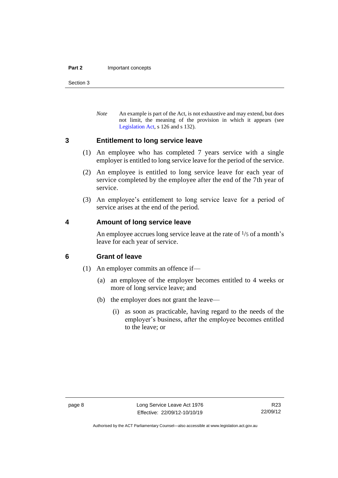#### **Part 2** Important concepts

Section 3

*Note* An example is part of the Act, is not exhaustive and may extend, but does not limit, the meaning of the provision in which it appears (see [Legislation Act,](http://www.legislation.act.gov.au/a/2001-14) s 126 and s 132).

## <span id="page-13-0"></span>**3 Entitlement to long service leave**

- (1) An employee who has completed 7 years service with a single employer is entitled to long service leave for the period of the service.
- (2) An employee is entitled to long service leave for each year of service completed by the employee after the end of the 7th year of service.
- (3) An employee's entitlement to long service leave for a period of service arises at the end of the period.

# <span id="page-13-1"></span>**4 Amount of long service leave**

An employee accrues long service leave at the rate of  $\frac{1}{5}$  of a month's leave for each year of service.

# <span id="page-13-2"></span>**6 Grant of leave**

- (1) An employer commits an offence if—
	- (a) an employee of the employer becomes entitled to 4 weeks or more of long service leave; and
	- (b) the employer does not grant the leave—
		- (i) as soon as practicable, having regard to the needs of the employer's business, after the employee becomes entitled to the leave; or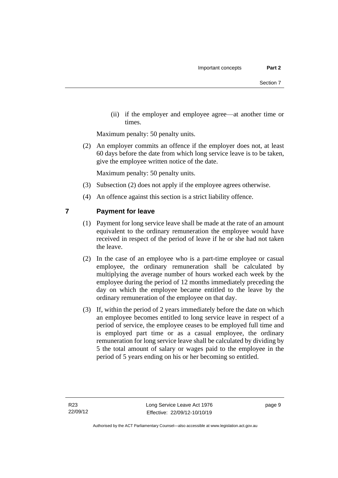(ii) if the employer and employee agree—at another time or times.

Maximum penalty: 50 penalty units.

(2) An employer commits an offence if the employer does not, at least 60 days before the date from which long service leave is to be taken, give the employee written notice of the date.

Maximum penalty: 50 penalty units.

- (3) Subsection (2) does not apply if the employee agrees otherwise.
- (4) An offence against this section is a strict liability offence.

# <span id="page-14-0"></span>**7 Payment for leave**

- (1) Payment for long service leave shall be made at the rate of an amount equivalent to the ordinary remuneration the employee would have received in respect of the period of leave if he or she had not taken the leave.
- (2) In the case of an employee who is a part-time employee or casual employee, the ordinary remuneration shall be calculated by multiplying the average number of hours worked each week by the employee during the period of 12 months immediately preceding the day on which the employee became entitled to the leave by the ordinary remuneration of the employee on that day.
- (3) If, within the period of 2 years immediately before the date on which an employee becomes entitled to long service leave in respect of a period of service, the employee ceases to be employed full time and is employed part time or as a casual employee, the ordinary remuneration for long service leave shall be calculated by dividing by 5 the total amount of salary or wages paid to the employee in the period of 5 years ending on his or her becoming so entitled.

page 9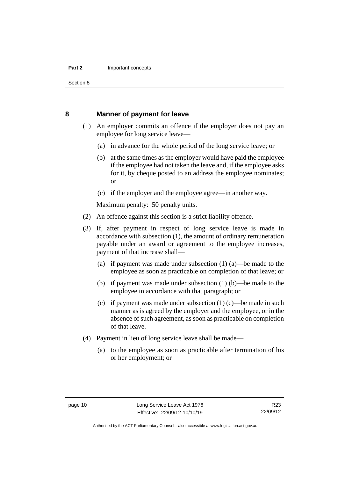Section 8

### <span id="page-15-0"></span>**8 Manner of payment for leave**

- (1) An employer commits an offence if the employer does not pay an employee for long service leave—
	- (a) in advance for the whole period of the long service leave; or
	- (b) at the same times as the employer would have paid the employee if the employee had not taken the leave and, if the employee asks for it, by cheque posted to an address the employee nominates; or
	- (c) if the employer and the employee agree—in another way.

Maximum penalty: 50 penalty units.

- (2) An offence against this section is a strict liability offence.
- (3) If, after payment in respect of long service leave is made in accordance with subsection (1), the amount of ordinary remuneration payable under an award or agreement to the employee increases, payment of that increase shall—
	- (a) if payment was made under subsection (1) (a)—be made to the employee as soon as practicable on completion of that leave; or
	- (b) if payment was made under subsection (1) (b)—be made to the employee in accordance with that paragraph; or
	- (c) if payment was made under subsection  $(1)$  (c)—be made in such manner as is agreed by the employer and the employee, or in the absence of such agreement, as soon as practicable on completion of that leave.
- (4) Payment in lieu of long service leave shall be made—
	- (a) to the employee as soon as practicable after termination of his or her employment; or

Authorised by the ACT Parliamentary Counsel—also accessible at www.legislation.act.gov.au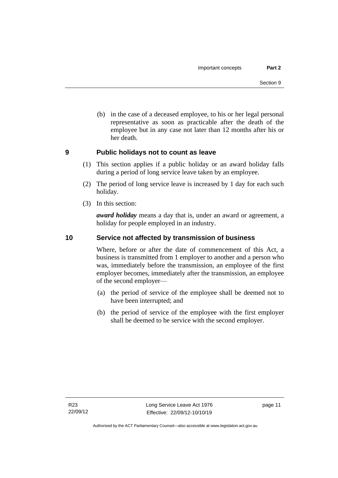(b) in the case of a deceased employee, to his or her legal personal representative as soon as practicable after the death of the employee but in any case not later than 12 months after his or her death.

# <span id="page-16-0"></span>**9 Public holidays not to count as leave**

- (1) This section applies if a public holiday or an award holiday falls during a period of long service leave taken by an employee.
- (2) The period of long service leave is increased by 1 day for each such holiday.
- (3) In this section:

*award holiday* means a day that is, under an award or agreement, a holiday for people employed in an industry.

# <span id="page-16-1"></span>**10 Service not affected by transmission of business**

Where, before or after the date of commencement of this Act, a business is transmitted from 1 employer to another and a person who was, immediately before the transmission, an employee of the first employer becomes, immediately after the transmission, an employee of the second employer—

- (a) the period of service of the employee shall be deemed not to have been interrupted; and
- (b) the period of service of the employee with the first employer shall be deemed to be service with the second employer.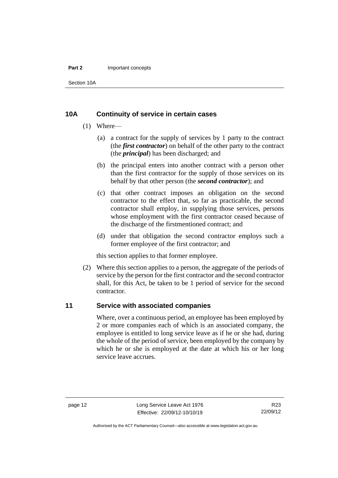#### **Part 2** Important concepts

Section 10A

# <span id="page-17-0"></span>**10A Continuity of service in certain cases**

- (1) Where—
	- (a) a contract for the supply of services by 1 party to the contract (the *first contractor*) on behalf of the other party to the contract (the *principal*) has been discharged; and
	- (b) the principal enters into another contract with a person other than the first contractor for the supply of those services on its behalf by that other person (the *second contractor*); and
	- (c) that other contract imposes an obligation on the second contractor to the effect that, so far as practicable, the second contractor shall employ, in supplying those services, persons whose employment with the first contractor ceased because of the discharge of the firstmentioned contract; and
	- (d) under that obligation the second contractor employs such a former employee of the first contractor; and

this section applies to that former employee.

(2) Where this section applies to a person, the aggregate of the periods of service by the person for the first contractor and the second contractor shall, for this Act, be taken to be 1 period of service for the second contractor.

# <span id="page-17-1"></span>**11 Service with associated companies**

Where, over a continuous period, an employee has been employed by 2 or more companies each of which is an associated company, the employee is entitled to long service leave as if he or she had, during the whole of the period of service, been employed by the company by which he or she is employed at the date at which his or her long service leave accrues.

Authorised by the ACT Parliamentary Counsel—also accessible at www.legislation.act.gov.au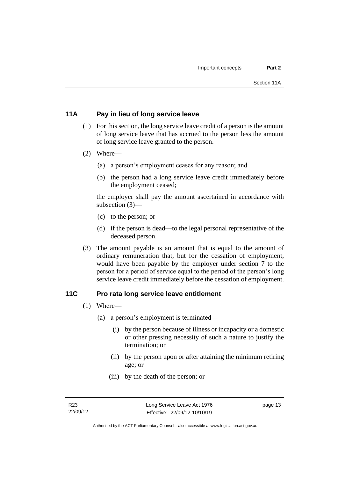# <span id="page-18-0"></span>**11A Pay in lieu of long service leave**

- (1) For this section, the long service leave credit of a person is the amount of long service leave that has accrued to the person less the amount of long service leave granted to the person.
- (2) Where—
	- (a) a person's employment ceases for any reason; and
	- (b) the person had a long service leave credit immediately before the employment ceased;

the employer shall pay the amount ascertained in accordance with subsection (3)—

- (c) to the person; or
- (d) if the person is dead—to the legal personal representative of the deceased person.
- (3) The amount payable is an amount that is equal to the amount of ordinary remuneration that, but for the cessation of employment, would have been payable by the employer under section 7 to the person for a period of service equal to the period of the person's long service leave credit immediately before the cessation of employment.

# <span id="page-18-1"></span>**11C Pro rata long service leave entitlement**

- (1) Where—
	- (a) a person's employment is terminated—
		- (i) by the person because of illness or incapacity or a domestic or other pressing necessity of such a nature to justify the termination; or
		- (ii) by the person upon or after attaining the minimum retiring age; or
		- (iii) by the death of the person; or

page 13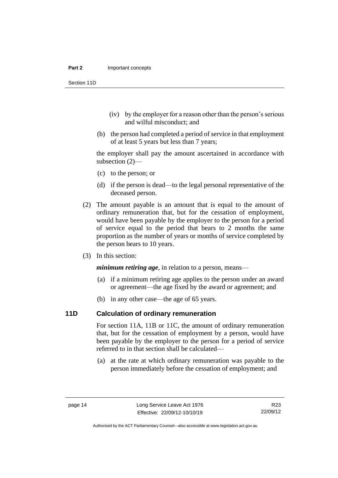Section 11D

- (iv) by the employer for a reason other than the person's serious and wilful misconduct; and
- (b) the person had completed a period of service in that employment of at least 5 years but less than 7 years;

the employer shall pay the amount ascertained in accordance with subsection (2)—

- (c) to the person; or
- (d) if the person is dead—to the legal personal representative of the deceased person.
- (2) The amount payable is an amount that is equal to the amount of ordinary remuneration that, but for the cessation of employment, would have been payable by the employer to the person for a period of service equal to the period that bears to 2 months the same proportion as the number of years or months of service completed by the person bears to 10 years.
- (3) In this section:

*minimum retiring age*, in relation to a person, means—

- (a) if a minimum retiring age applies to the person under an award or agreement—the age fixed by the award or agreement; and
- (b) in any other case—the age of 65 years.

# <span id="page-19-0"></span>**11D Calculation of ordinary remuneration**

For section 11A, 11B or 11C, the amount of ordinary remuneration that, but for the cessation of employment by a person, would have been payable by the employer to the person for a period of service referred to in that section shall be calculated—

(a) at the rate at which ordinary remuneration was payable to the person immediately before the cessation of employment; and

Authorised by the ACT Parliamentary Counsel—also accessible at www.legislation.act.gov.au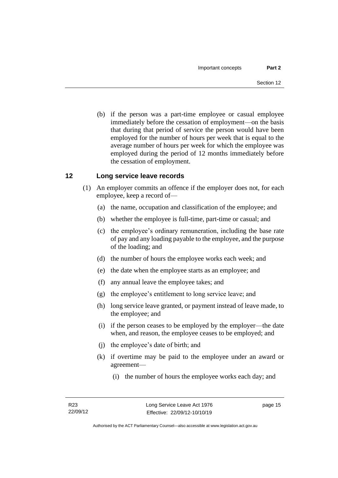(b) if the person was a part-time employee or casual employee immediately before the cessation of employment—on the basis that during that period of service the person would have been employed for the number of hours per week that is equal to the average number of hours per week for which the employee was employed during the period of 12 months immediately before the cessation of employment.

# <span id="page-20-0"></span>**12 Long service leave records**

- (1) An employer commits an offence if the employer does not, for each employee, keep a record of—
	- (a) the name, occupation and classification of the employee; and
	- (b) whether the employee is full-time, part-time or casual; and
	- (c) the employee's ordinary remuneration, including the base rate of pay and any loading payable to the employee, and the purpose of the loading; and
	- (d) the number of hours the employee works each week; and
	- (e) the date when the employee starts as an employee; and
	- (f) any annual leave the employee takes; and
	- (g) the employee's entitlement to long service leave; and
	- (h) long service leave granted, or payment instead of leave made, to the employee; and
	- (i) if the person ceases to be employed by the employer—the date when, and reason, the employee ceases to be employed; and
	- (j) the employee's date of birth; and
	- (k) if overtime may be paid to the employee under an award or agreement—
		- (i) the number of hours the employee works each day; and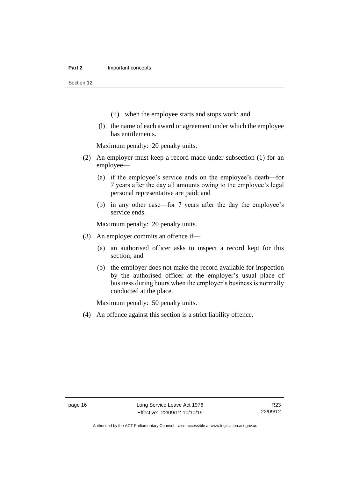Section 12

- (ii) when the employee starts and stops work; and
- (l) the name of each award or agreement under which the employee has entitlements.

Maximum penalty: 20 penalty units.

- (2) An employer must keep a record made under subsection (1) for an employee—
	- (a) if the employee's service ends on the employee's death—for 7 years after the day all amounts owing to the employee's legal personal representative are paid; and
	- (b) in any other case—for 7 years after the day the employee's service ends.

Maximum penalty: 20 penalty units.

- (3) An employer commits an offence if—
	- (a) an authorised officer asks to inspect a record kept for this section; and
	- (b) the employer does not make the record available for inspection by the authorised officer at the employer's usual place of business during hours when the employer's business is normally conducted at the place.

Maximum penalty: 50 penalty units.

(4) An offence against this section is a strict liability offence.

Authorised by the ACT Parliamentary Counsel—also accessible at www.legislation.act.gov.au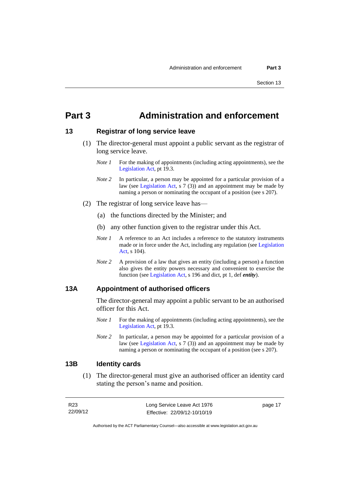# <span id="page-22-0"></span>**Part 3 Administration and enforcement**

### <span id="page-22-1"></span>**13 Registrar of long service leave**

- (1) The director-general must appoint a public servant as the registrar of long service leave.
	- *Note 1* For the making of appointments (including acting appointments), see the [Legislation Act,](http://www.legislation.act.gov.au/a/2001-14) pt 19.3.
	- *Note 2* In particular, a person may be appointed for a particular provision of a law (see [Legislation Act,](http://www.legislation.act.gov.au/a/2001-14) s 7 (3)) and an appointment may be made by naming a person or nominating the occupant of a position (see s 207).
- (2) The registrar of long service leave has—
	- (a) the functions directed by the Minister; and
	- (b) any other function given to the registrar under this Act.
	- *Note 1* A reference to an Act includes a reference to the statutory instruments made or in force under the Act, including any regulation (see [Legislation](http://www.legislation.act.gov.au/a/2001-14)  [Act,](http://www.legislation.act.gov.au/a/2001-14) s 104).
	- *Note 2* A provision of a law that gives an entity (including a person) a function also gives the entity powers necessary and convenient to exercise the function (se[e Legislation Act,](http://www.legislation.act.gov.au/a/2001-14) s 196 and dict, pt 1, def *entity*).

## <span id="page-22-2"></span>**13A Appointment of authorised officers**

The director-general may appoint a public servant to be an authorised officer for this Act.

- *Note 1* For the making of appointments (including acting appointments), see the [Legislation Act,](http://www.legislation.act.gov.au/a/2001-14) pt 19.3.
- *Note 2* In particular, a person may be appointed for a particular provision of a law (see [Legislation Act,](http://www.legislation.act.gov.au/a/2001-14) s 7 (3)) and an appointment may be made by naming a person or nominating the occupant of a position (see s 207).

## <span id="page-22-3"></span>**13B Identity cards**

(1) The director-general must give an authorised officer an identity card stating the person's name and position.

| R23      | Long Service Leave Act 1976  | page 17 |
|----------|------------------------------|---------|
| 22/09/12 | Effective: 22/09/12-10/10/19 |         |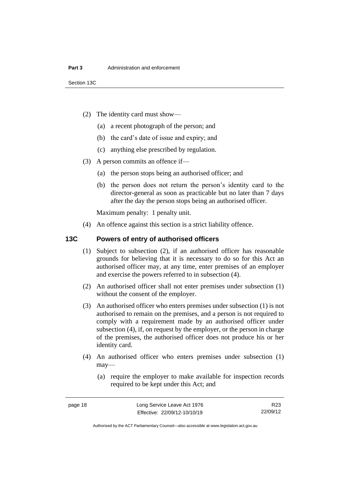- (2) The identity card must show—
	- (a) a recent photograph of the person; and
	- (b) the card's date of issue and expiry; and
	- (c) anything else prescribed by regulation.
- (3) A person commits an offence if—
	- (a) the person stops being an authorised officer; and
	- (b) the person does not return the person's identity card to the director-general as soon as practicable but no later than 7 days after the day the person stops being an authorised officer.

Maximum penalty: 1 penalty unit.

(4) An offence against this section is a strict liability offence.

# <span id="page-23-0"></span>**13C Powers of entry of authorised officers**

- (1) Subject to subsection (2), if an authorised officer has reasonable grounds for believing that it is necessary to do so for this Act an authorised officer may, at any time, enter premises of an employer and exercise the powers referred to in subsection (4).
- (2) An authorised officer shall not enter premises under subsection (1) without the consent of the employer.
- (3) An authorised officer who enters premises under subsection (1) is not authorised to remain on the premises, and a person is not required to comply with a requirement made by an authorised officer under subsection (4), if, on request by the employer, or the person in charge of the premises, the authorised officer does not produce his or her identity card.
- (4) An authorised officer who enters premises under subsection (1) may—
	- (a) require the employer to make available for inspection records required to be kept under this Act; and

R23 22/09/12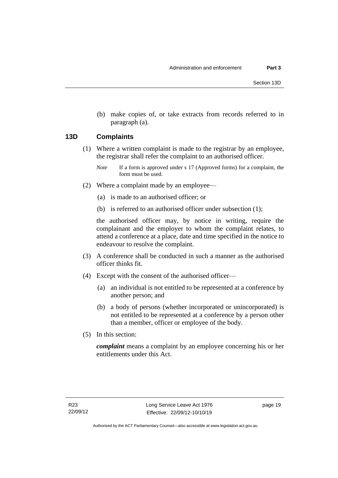(b) make copies of, or take extracts from records referred to in paragraph (a).

## <span id="page-24-0"></span>**13D Complaints**

- (1) Where a written complaint is made to the registrar by an employee, the registrar shall refer the complaint to an authorised officer.
	- *Note* If a form is approved under s 17 (Approved forms) for a complaint, the form must be used.
- (2) Where a complaint made by an employee—
	- (a) is made to an authorised officer; or
	- (b) is referred to an authorised officer under subsection (1);

the authorised officer may, by notice in writing, require the complainant and the employer to whom the complaint relates, to attend a conference at a place, date and time specified in the notice to endeavour to resolve the complaint.

- (3) A conference shall be conducted in such a manner as the authorised officer thinks fit.
- (4) Except with the consent of the authorised officer—
	- (a) an individual is not entitled to be represented at a conference by another person; and
	- (b) a body of persons (whether incorporated or unincorporated) is not entitled to be represented at a conference by a person other than a member, officer or employee of the body.
- (5) In this section:

*complaint* means a complaint by an employee concerning his or her entitlements under this Act.

page 19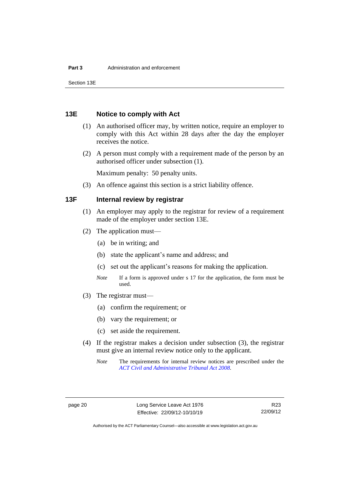Section 13E

# <span id="page-25-0"></span>**13E Notice to comply with Act**

- (1) An authorised officer may, by written notice, require an employer to comply with this Act within 28 days after the day the employer receives the notice.
- (2) A person must comply with a requirement made of the person by an authorised officer under subsection (1).

Maximum penalty: 50 penalty units.

(3) An offence against this section is a strict liability offence.

# <span id="page-25-1"></span>**13F Internal review by registrar**

- (1) An employer may apply to the registrar for review of a requirement made of the employer under section 13E.
- (2) The application must—
	- (a) be in writing; and
	- (b) state the applicant's name and address; and
	- (c) set out the applicant's reasons for making the application.
	- *Note* If a form is approved under s 17 for the application, the form must be used.
- (3) The registrar must—
	- (a) confirm the requirement; or
	- (b) vary the requirement; or
	- (c) set aside the requirement.
- (4) If the registrar makes a decision under subsection (3), the registrar must give an internal review notice only to the applicant.
	- *Note* The requirements for internal review notices are prescribed under the *[ACT Civil and Administrative Tribunal Act 2008](http://www.legislation.act.gov.au/a/2008-35)*.

R23 22/09/12

Authorised by the ACT Parliamentary Counsel—also accessible at www.legislation.act.gov.au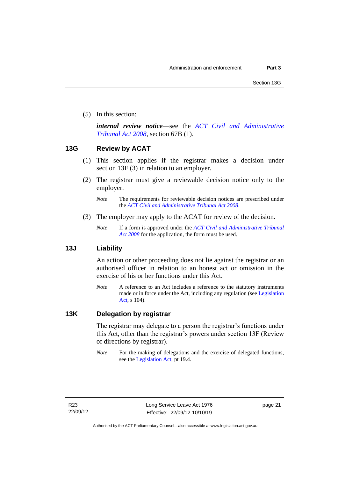(5) In this section:

*internal review notice*—see the *[ACT Civil and Administrative](http://www.legislation.act.gov.au/a/2008-35)  [Tribunal Act 2008](http://www.legislation.act.gov.au/a/2008-35)*, section 67B (1).

# <span id="page-26-0"></span>**13G Review by ACAT**

- (1) This section applies if the registrar makes a decision under section 13F (3) in relation to an employer.
- (2) The registrar must give a reviewable decision notice only to the employer.
	- *Note* The requirements for reviewable decision notices are prescribed under the *[ACT Civil and Administrative Tribunal Act 2008](http://www.legislation.act.gov.au/a/2008-35)*.
- (3) The employer may apply to the ACAT for review of the decision.
	- *Note* If a form is approved under the *[ACT Civil and Administrative Tribunal](http://www.legislation.act.gov.au/a/2008-35)  [Act 2008](http://www.legislation.act.gov.au/a/2008-35)* for the application, the form must be used.

# <span id="page-26-1"></span>**13J Liability**

An action or other proceeding does not lie against the registrar or an authorised officer in relation to an honest act or omission in the exercise of his or her functions under this Act.

*Note* A reference to an Act includes a reference to the statutory instruments made or in force under the Act, including any regulation (see [Legislation](http://www.legislation.act.gov.au/a/2001-14)  [Act,](http://www.legislation.act.gov.au/a/2001-14) s 104).

# <span id="page-26-2"></span>**13K Delegation by registrar**

The registrar may delegate to a person the registrar's functions under this Act, other than the registrar's powers under section 13F (Review of directions by registrar).

*Note* For the making of delegations and the exercise of delegated functions, see the [Legislation Act,](http://www.legislation.act.gov.au/a/2001-14) pt 19.4.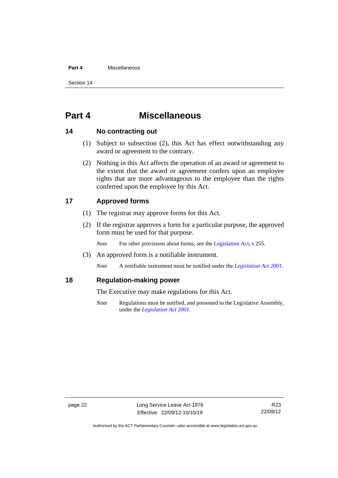#### **Part 4** Miscellaneous

Section 14

# <span id="page-27-0"></span>**Part 4 Miscellaneous**

# <span id="page-27-1"></span>**14 No contracting out**

- (1) Subject to subsection (2), this Act has effect notwithstanding any award or agreement to the contrary.
- (2) Nothing in this Act affects the operation of an award or agreement to the extent that the award or agreement confers upon an employee rights that are more advantageous to the employee than the rights conferred upon the employee by this Act.

# <span id="page-27-2"></span>**17 Approved forms**

- (1) The registrar may approve forms for this Act.
- (2) If the registrar approves a form for a particular purpose, the approved form must be used for that purpose.

*Note* For other provisions about forms, see th[e Legislation Act,](http://www.legislation.act.gov.au/a/2001-14) s 255.

(3) An approved form is a notifiable instrument.

*Note* A notifiable instrument must be notified under the *[Legislation Act 2001](http://www.legislation.act.gov.au/a/2001-14)*.

# <span id="page-27-3"></span>**18 Regulation-making power**

The Executive may make regulations for this Act.

*Note* Regulations must be notified, and presented to the Legislative Assembly, under the *[Legislation Act 2001](http://www.legislation.act.gov.au/a/2001-14)*.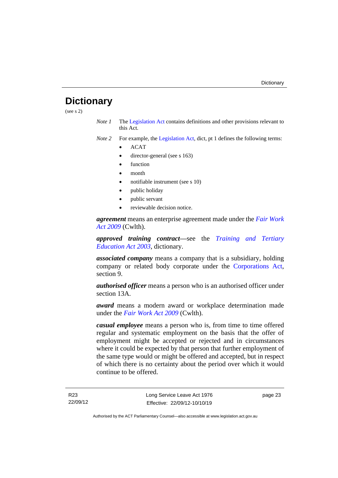# <span id="page-28-0"></span>**Dictionary**

(see s 2)

*Note 1* The [Legislation Act](http://www.legislation.act.gov.au/a/2001-14) contains definitions and other provisions relevant to this Act.

*Note 2* For example, the [Legislation Act,](http://www.legislation.act.gov.au/a/2001-14) dict, pt 1 defines the following terms:

- ACAT
- director-general (see s 163)
- function
- month
- notifiable instrument (see s 10)
- public holiday
- public servant
- reviewable decision notice.

*agreement* means an enterprise agreement made under the *[Fair Work](http://www.comlaw.gov.au/Series/C2009A00028)  [Act 2009](http://www.comlaw.gov.au/Series/C2009A00028)* (Cwlth).

*approved training contract—*see the *[Training and Tertiary](http://www.legislation.act.gov.au/a/2003-36)  [Education Act 2003](http://www.legislation.act.gov.au/a/2003-36)*, dictionary.

*associated company* means a company that is a subsidiary, holding company or related body corporate under the [Corporations Act,](http://www.comlaw.gov.au/Series/C2004A00818) section 9.

*authorised officer* means a person who is an authorised officer under section 13A.

*award* means a modern award or workplace determination made under the *[Fair Work Act 2009](http://www.comlaw.gov.au/Series/C2009A00028)* (Cwlth).

*casual employee* means a person who is, from time to time offered regular and systematic employment on the basis that the offer of employment might be accepted or rejected and in circumstances where it could be expected by that person that further employment of the same type would or might be offered and accepted, but in respect of which there is no certainty about the period over which it would continue to be offered.

page 23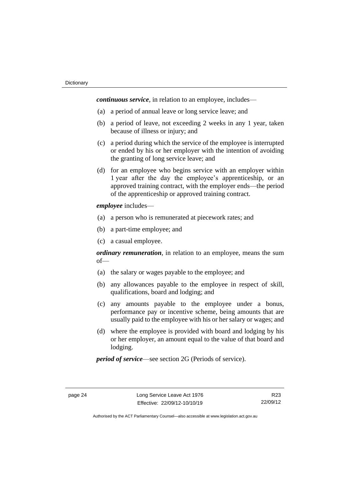*continuous service*, in relation to an employee, includes—

- (a) a period of annual leave or long service leave; and
- (b) a period of leave, not exceeding 2 weeks in any 1 year, taken because of illness or injury; and
- (c) a period during which the service of the employee is interrupted or ended by his or her employer with the intention of avoiding the granting of long service leave; and
- (d) for an employee who begins service with an employer within 1 year after the day the employee's apprenticeship, or an approved training contract, with the employer ends—the period of the apprenticeship or approved training contract.

#### *employee* includes—

- (a) a person who is remunerated at piecework rates; and
- (b) a part-time employee; and
- (c) a casual employee.

*ordinary remuneration*, in relation to an employee, means the sum of—

- (a) the salary or wages payable to the employee; and
- (b) any allowances payable to the employee in respect of skill, qualifications, board and lodging; and
- (c) any amounts payable to the employee under a bonus, performance pay or incentive scheme, being amounts that are usually paid to the employee with his or her salary or wages; and
- (d) where the employee is provided with board and lodging by his or her employer, an amount equal to the value of that board and lodging.

*period of service*—see section 2G (Periods of service).

R23 22/09/12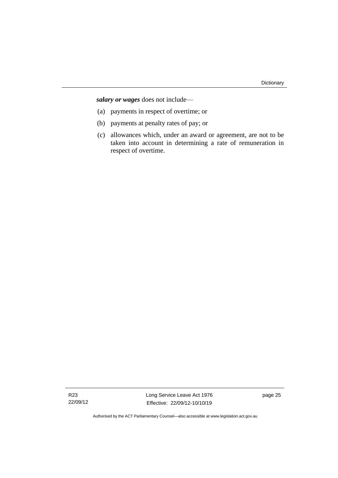*salary or wages* does not include—

- (a) payments in respect of overtime; or
- (b) payments at penalty rates of pay; or
- (c) allowances which, under an award or agreement, are not to be taken into account in determining a rate of remuneration in respect of overtime.

R23 22/09/12 Long Service Leave Act 1976 Effective: 22/09/12-10/10/19

page 25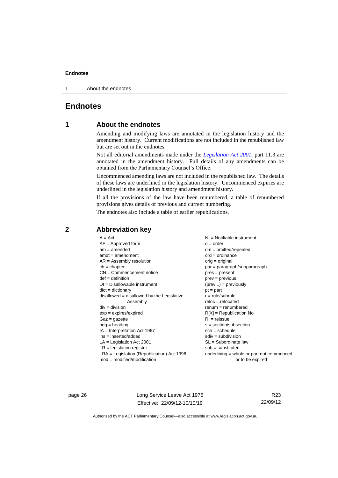1 About the endnotes

# <span id="page-31-1"></span><span id="page-31-0"></span>**Endnotes**

# **1 About the endnotes**

Amending and modifying laws are annotated in the legislation history and the amendment history. Current modifications are not included in the republished law but are set out in the endnotes.

Not all editorial amendments made under the *[Legislation Act 2001](http://www.legislation.act.gov.au/a/2001-14)*, part 11.3 are annotated in the amendment history. Full details of any amendments can be obtained from the Parliamentary Counsel's Office.

Uncommenced amending laws are not included in the republished law. The details of these laws are underlined in the legislation history. Uncommenced expiries are underlined in the legislation history and amendment history.

If all the provisions of the law have been renumbered, a table of renumbered provisions gives details of previous and current numbering.

The endnotes also include a table of earlier republications.

| $A = Act$                                    | $NI =$ Notifiable instrument              |
|----------------------------------------------|-------------------------------------------|
| $AF =$ Approved form                         | $o = order$                               |
| $am = amended$                               | $om = omitted/report$                     |
| $amdt = amendment$                           | $ord = ordinance$                         |
| $AR = Assembly resolution$                   | $orig = original$                         |
| $ch = chapter$                               | $par = paragraph/subparagraph$            |
| $CN =$ Commencement notice                   | $pres = present$                          |
| $def = definition$                           | $prev = previous$                         |
| $DI = Disallowable instrument$               | $(\text{prev}) = \text{previously}$       |
| $dict = dictionary$                          | $pt = part$                               |
| $disallowed = disallowed by the Legislative$ | $r = rule/subrule$                        |
| Assembly                                     | $reloc = relocated$                       |
| $div =$ division                             | $remum = renumbered$                      |
| $exp = expires/expired$                      | $R[X]$ = Republication No                 |
| $Gaz = gazette$                              | $RI = reissue$                            |
| $hdg =$ heading                              | $s = section/subsection$                  |
| $IA = Interpretation Act 1967$               | $sch = schedule$                          |
| $ins = inserted/added$                       | $sdiv = subdivision$                      |
| $LA =$ Legislation Act 2001                  | $SL = Subordinate$ law                    |
| $LR =$ legislation register                  | $sub = substituted$                       |
| $LRA =$ Legislation (Republication) Act 1996 | underlining = whole or part not commenced |
| $mod = modified/modification$                | or to be expired                          |
|                                              |                                           |

## <span id="page-31-2"></span>**2 Abbreviation key**

page 26 Long Service Leave Act 1976 Effective: 22/09/12-10/10/19

R23 22/09/12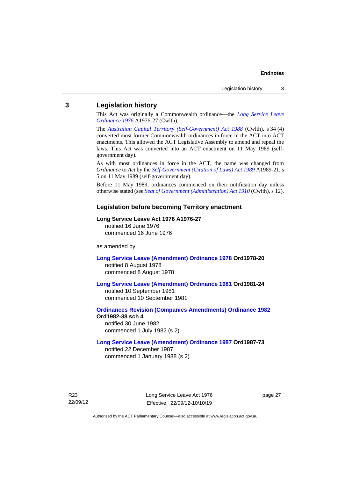### <span id="page-32-0"></span>**3 Legislation history**

This Act was originally a Commonwealth ordinance—the *[Long Service Leave](http://www.legislation.act.gov.au/a/1976-27)  [Ordinance 1976](http://www.legislation.act.gov.au/a/1976-27)* A1976-27 (Cwlth).

The *[Australian Capital Territory \(Self-Government\) Act 1988](http://www.comlaw.gov.au/Series/C2004A03699)* (Cwlth), s 34 (4) converted most former Commonwealth ordinances in force in the ACT into ACT enactments. This allowed the ACT Legislative Assembly to amend and repeal the laws. This Act was converted into an ACT enactment on 11 May 1989 (selfgovernment day).

As with most ordinances in force in the ACT, the name was changed from *Ordinance* to *Act* by the *[Self-Government \(Citation of Laws\) Act 1989](http://www.legislation.act.gov.au/a/alt_ord1989-21/default.asp)* A1989-21, s 5 on 11 May 1989 (self-government day).

Before 11 May 1989, ordinances commenced on their notification day unless otherwise stated (see *[Seat of Government \(Administration\) Act 1910](http://www.comlaw.gov.au/Series/C2004A07446)* (Cwlth), s 12).

#### **Legislation before becoming Territory enactment**

#### **Long Service Leave Act 1976 A1976-27**

notified 16 June 1976 commenced 16 June 1976

as amended by

**[Long Service Leave \(Amendment\) Ordinance 1978](http://www.legislation.act.gov.au/a/1978-20) Ord1978-20** notified 8 August 1978 commenced 8 August 1978

**[Long Service Leave \(Amendment\) Ordinance 1981](http://www.legislation.act.gov.au/a/1981-24) Ord1981-24** notified 10 September 1981

commenced 10 September 1981

**[Ordinances Revision \(Companies Amendments\) Ordinance 1982](http://www.legislation.act.gov.au/ord/1982-38) Ord1982-38 sch 4** notified 30 June 1982

commenced 1 July 1982 (s 2)

#### **[Long Service Leave \(Amendment\) Ordinance 1987](http://www.legislation.act.gov.au/a/1987-73) Ord1987-73**

notified 22 December 1987 commenced 1 January 1988 (s 2)

R23 22/09/12 Long Service Leave Act 1976 Effective: 22/09/12-10/10/19

page 27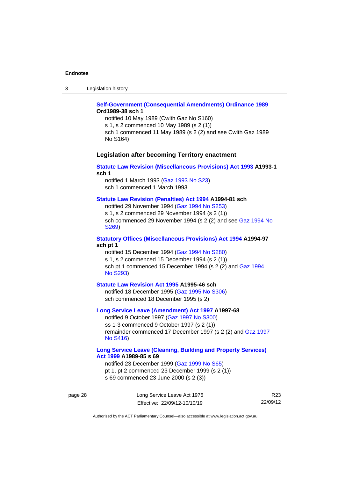3 Legislation history

#### **[Self-Government \(Consequential Amendments\) Ordinance 1989](http://www.legislation.act.gov.au/a/1989-38) Ord1989-38 sch 1**

notified 10 May 1989 (Cwlth Gaz No S160) s 1, s 2 commenced 10 May 1989 (s 2 (1)) sch 1 commenced 11 May 1989 (s 2 (2) and see Cwlth Gaz 1989 No S164)

#### **Legislation after becoming Territory enactment**

#### **[Statute Law Revision \(Miscellaneous Provisions\) Act 1993](http://www.legislation.act.gov.au/a/1993-1) A1993-1 sch 1**

notified 1 March 1993 [\(Gaz 1993 No S23\)](http://www.legislation.act.gov.au/gaz/1993-S23/default.asp) sch 1 commenced 1 March 1993

#### **[Statute Law Revision \(Penalties\) Act 1994](http://www.legislation.act.gov.au/a/1994-81) A1994-81 sch**

notified 29 November 1994 [\(Gaz 1994 No S253\)](http://www.legislation.act.gov.au/gaz/1994-S253/default.asp) s 1, s 2 commenced 29 November 1994 (s 2 (1)) sch commenced 29 November 1994 (s 2 (2) and see [Gaz 1994 No](http://www.legislation.act.gov.au/gaz/1994-S269/default.asp)  [S269\)](http://www.legislation.act.gov.au/gaz/1994-S269/default.asp)

#### **[Statutory Offices \(Miscellaneous Provisions\) Act 1994](http://www.legislation.act.gov.au/a/1994-97) A1994-97 sch pt 1**

notified 15 December 1994 [\(Gaz 1994 No S280\)](http://www.legislation.act.gov.au/gaz/1994-S280/default.asp) s 1, s 2 commenced 15 December 1994 (s 2 (1)) sch pt 1 commenced 15 December 1994 (s 2 (2) and Gaz 1994 No [S293\)](http://www.legislation.act.gov.au/gaz/1994-S293/default.asp)

#### **[Statute Law Revision Act 1995](http://www.legislation.act.gov.au/a/1995-46) A1995-46 sch**

notified 18 December 1995 [\(Gaz 1995 No S306\)](http://www.legislation.act.gov.au/gaz/1995-S306/default.asp) sch commenced 18 December 1995 (s 2)

#### **[Long Service Leave \(Amendment\) Act 1997](http://www.legislation.act.gov.au/a/1997-68) A1997-68**

notified 9 October 1997 [\(Gaz 1997 No S300\)](http://www.legislation.act.gov.au/gaz/1997-S300/default.asp) ss 1-3 commenced 9 October 1997 (s 2 (1)) remainder commenced 17 December 1997 (s 2 (2) and [Gaz 1997](http://www.legislation.act.gov.au/gaz/1997-S416/default.asp)  No [S416\)](http://www.legislation.act.gov.au/gaz/1997-S416/default.asp)

#### **[Long Service Leave \(Cleaning, Building and Property Services\)](http://www.legislation.act.gov.au/a/1999-85)  Act [1999](http://www.legislation.act.gov.au/a/1999-85) A1989-85 s 69**

notified 23 December 1999 [\(Gaz 1999 No S65\)](http://www.legislation.act.gov.au/gaz/1999-S65/default.asp) pt 1, pt 2 commenced 23 December 1999 (s 2 (1)) s 69 commenced 23 June 2000 (s 2 (3))

page 28 Long Service Leave Act 1976 Effective: 22/09/12-10/10/19

R23 22/09/12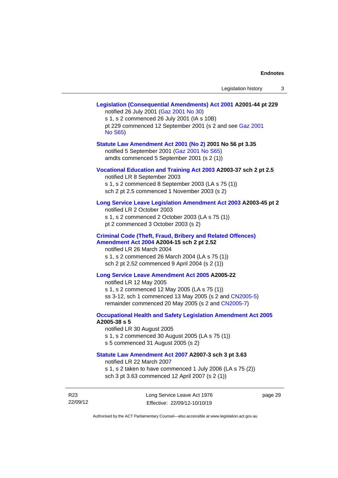|                             | Legislation (Consequential Amendments) Act 2001 A2001-44 pt 229<br>notified 26 July 2001 (Gaz 2001 No 30)<br>s 1, s 2 commenced 26 July 2001 (IA s 10B)<br>pt 229 commenced 12 September 2001 (s 2 and see Gaz 2001<br><b>No S65)</b>           |  |
|-----------------------------|-------------------------------------------------------------------------------------------------------------------------------------------------------------------------------------------------------------------------------------------------|--|
|                             | Statute Law Amendment Act 2001 (No 2) 2001 No 56 pt 3.35<br>notified 5 September 2001 (Gaz 2001 No S65)<br>amdts commenced 5 September 2001 (s 2 (1))                                                                                           |  |
|                             | Vocational Education and Training Act 2003 A2003-37 sch 2 pt 2.5<br>notified LR 8 September 2003<br>s 1, s 2 commenced 8 September 2003 (LA s 75 (1))<br>sch 2 pt 2.5 commenced 1 November 2003 (s 2)                                           |  |
|                             | Long Service Leave Legislation Amendment Act 2003 A2003-45 pt 2<br>notified LR 2 October 2003<br>s 1, s 2 commenced 2 October 2003 (LA s 75 (1))<br>pt 2 commenced 3 October 2003 (s 2)                                                         |  |
|                             | <b>Criminal Code (Theft, Fraud, Bribery and Related Offences)</b><br>Amendment Act 2004 A2004-15 sch 2 pt 2.52<br>notified LR 26 March 2004<br>s 1, s 2 commenced 26 March 2004 (LA s 75 (1))<br>sch 2 pt 2.52 commenced 9 April 2004 (s 2 (1)) |  |
|                             | Long Service Leave Amendment Act 2005 A2005-22<br>notified LR 12 May 2005<br>s 1, s 2 commenced 12 May 2005 (LA s 75 (1))<br>ss 3-12, sch 1 commenced 13 May 2005 (s 2 and CN2005-5)<br>remainder commenced 20 May 2005 (s 2 and CN2005-7)      |  |
|                             | <b>Occupational Health and Safety Legislation Amendment Act 2005</b><br>A2005-38 s 5<br>notified LR 30 August 2005<br>s 1, s 2 commenced 30 August 2005 (LA s 75 (1))<br>s 5 commenced 31 August 2005 (s 2)                                     |  |
|                             | Statute Law Amendment Act 2007 A2007-3 sch 3 pt 3.63<br>notified LR 22 March 2007<br>s 1, s 2 taken to have commenced 1 July 2006 (LA s 75 (2))<br>sch 3 pt 3.63 commenced 12 April 2007 (s 2 (1))                                              |  |
| R <sub>23</sub><br>22/09/12 | Long Service Leave Act 1976<br>page 29<br>Effective: 22/09/12-10/10/19                                                                                                                                                                          |  |

Authorised by the ACT Parliamentary Counsel—also accessible at www.legislation.act.gov.au

Effective: 22/09/12-10/10/19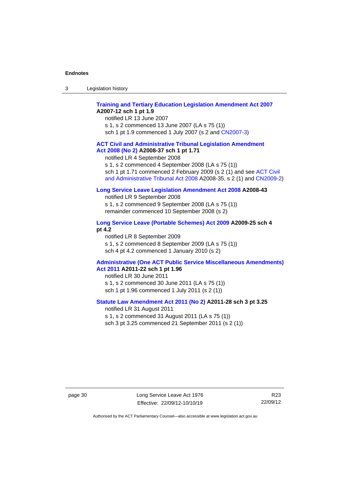| Legislation history<br>-3 |
|---------------------------|
|---------------------------|

#### **[Training and Tertiary Education Legislation Amendment Act 2007](http://www.legislation.act.gov.au/a/2007-12) A2007-12 sch 1 pt 1.9**

notified LR 13 June 2007 s 1, s 2 commenced 13 June 2007 (LA s 75 (1)) sch 1 pt 1.9 commenced 1 July 2007 (s 2 and [CN2007-3\)](http://www.legislation.act.gov.au/cn/2007-3/default.asp)

#### **[ACT Civil and Administrative Tribunal Legislation Amendment](http://www.legislation.act.gov.au/a/2008-37)  Act [2008 \(No](http://www.legislation.act.gov.au/a/2008-37) 2) A2008-37 sch 1 pt 1.71**

notified LR 4 September 2008

s 1, s 2 commenced 4 September 2008 (LA s 75 (1))

sch 1 pt 1.71 commenced 2 February 2009 (s 2 (1) and see [ACT Civil](http://www.legislation.act.gov.au/a/2008-35)  [and Administrative Tribunal Act 2008](http://www.legislation.act.gov.au/a/2008-35) A2008-35, s 2 (1) an[d CN2009-2\)](http://www.legislation.act.gov.au/cn/2009-2/default.asp)

#### **[Long Service Leave Legislation Amendment Act 2008](http://www.legislation.act.gov.au/a/2008-43) A2008-43**

notified LR 9 September 2008

s 1, s 2 commenced 9 September 2008 (LA s 75 (1)) remainder commenced 10 September 2008 (s 2)

#### **[Long Service Leave \(Portable Schemes\) Act 2009](http://www.legislation.act.gov.au/a/2009-25) A2009-25 sch 4 pt 4.2**

notified LR 8 September 2009

s 1, s 2 commenced 8 September 2009 (LA s 75 (1))

sch 4 pt 4.2 commenced 1 January 2010 (s 2)

# **[Administrative \(One ACT Public Service Miscellaneous Amendments\)](http://www.legislation.act.gov.au/a/2011-22)**

**Act [2011](http://www.legislation.act.gov.au/a/2011-22) A2011-22 sch 1 pt 1.96**

notified LR 30 June 2011 s 1, s 2 commenced 30 June 2011 (LA s 75 (1)) sch 1 pt 1.96 commenced 1 July 2011 (s 2 (1))

#### **[Statute Law Amendment Act 2011 \(No 2\)](http://www.legislation.act.gov.au/a/2011-28) A2011-28 sch 3 pt 3.25**

notified LR 31 August 2011 s 1, s 2 commenced 31 August 2011 (LA s 75 (1)) sch 3 pt 3.25 commenced 21 September 2011 (s 2 (1))

page 30 Long Service Leave Act 1976 Effective: 22/09/12-10/10/19

R23 22/09/12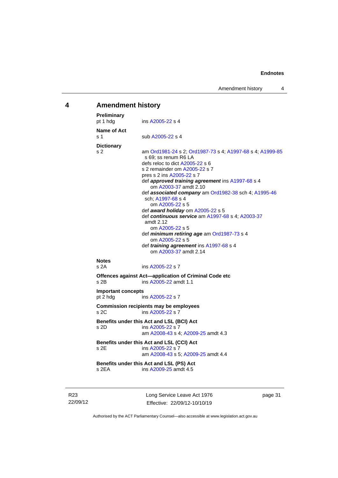# <span id="page-36-0"></span>**4 Amendment history**

| Preliminary<br>pt 1 hdg               | ins A2005-22 s 4                                                                                                                                                                                                                                                                                                                                                                                                                                                                                                                                                                                                                     |
|---------------------------------------|--------------------------------------------------------------------------------------------------------------------------------------------------------------------------------------------------------------------------------------------------------------------------------------------------------------------------------------------------------------------------------------------------------------------------------------------------------------------------------------------------------------------------------------------------------------------------------------------------------------------------------------|
| Name of Act<br>s 1                    | sub A2005-22 s 4                                                                                                                                                                                                                                                                                                                                                                                                                                                                                                                                                                                                                     |
| <b>Dictionary</b><br>s 2              | am Ord1981-24 s 2; Ord1987-73 s 4; A1997-68 s 4; A1999-85<br>s 69; ss renum R6 LA<br>defs reloc to dict A2005-22 s 6<br>s 2 remainder om A2005-22 s 7<br>pres s 2 ins A2005-22 s 7<br>def approved training agreement ins A1997-68 s 4<br>om A2003-37 amdt 2.10<br>def associated company am Ord1982-38 sch 4; A1995-46<br>sch; A1997-68 s 4<br>om A2005-22 s 5<br>def award holiday om A2005-22 s 5<br>def continuous service am A1997-68 s 4; A2003-37<br>amdt 2.12<br>om A2005-22 s 5<br>def minimum retiring age am Ord1987-73 s 4<br>om A2005-22 s 5<br>def <i>training agreement</i> ins A1997-68 s 4<br>om A2003-37 amdt 2.14 |
| <b>Notes</b><br>s 2A                  | ins A2005-22 s 7                                                                                                                                                                                                                                                                                                                                                                                                                                                                                                                                                                                                                     |
| s 2B                                  | Offences against Act-application of Criminal Code etc<br>ins A2005-22 amdt 1.1                                                                                                                                                                                                                                                                                                                                                                                                                                                                                                                                                       |
| <b>Important concepts</b><br>pt 2 hdg | ins A2005-22 s 7                                                                                                                                                                                                                                                                                                                                                                                                                                                                                                                                                                                                                     |
| s 2C                                  | <b>Commission recipients may be employees</b><br>ins A2005-22 s 7                                                                                                                                                                                                                                                                                                                                                                                                                                                                                                                                                                    |
| s 2D                                  | Benefits under this Act and LSL (BCI) Act<br>ins A2005-22 s 7<br>am A2008-43 s 4; A2009-25 amdt 4.3                                                                                                                                                                                                                                                                                                                                                                                                                                                                                                                                  |
| s 2E                                  | Benefits under this Act and LSL (CCI) Act<br>ins A2005-22 s 7<br>am A2008-43 s 5; A2009-25 amdt 4.4                                                                                                                                                                                                                                                                                                                                                                                                                                                                                                                                  |
| s 2FA                                 | Benefits under this Act and LSL (PS) Act<br>ins A2009-25 amdt 4.5                                                                                                                                                                                                                                                                                                                                                                                                                                                                                                                                                                    |
|                                       |                                                                                                                                                                                                                                                                                                                                                                                                                                                                                                                                                                                                                                      |

R23 22/09/12 Long Service Leave Act 1976 Effective: 22/09/12-10/10/19

page 31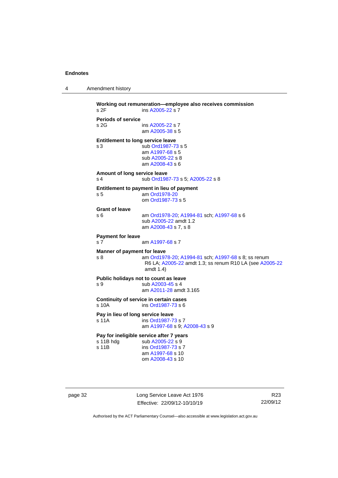```
4 Amendment history
```

```
Working out remuneration—employee also receives commission
 A2005-22 s 7
Periods of service
s 2G ins A2005-22 s 7
               am A2005-38 s 5
Entitlement to long service leave
s 3 sub Ord1987-73 s 5
                am A1997-68 s 5
                sub A2005-22 s 8
                am A2008-43 s 6
Amount of long service leave
 Ord1987-73; A2005-22 s 8
Entitlement to payment in lieu of payment
s 5 am Ord1978-20
                om Ord1987-73 s 5
Grant of leave
s 6 am Ord1978-20; A1994-81 sch; A1997-68 s 6
                sub A2005-22 amdt 1.2
                am A2008-43 s 7, s 8
Payment for leave
 A1997-68 s 7
Manner of payment for leave
s 8 am Ord1978-20; A1994-81 sch; A1997-68 s 8; ss renum 
                 R6 LA; A2005-22 amdt 1.3; ss renum R10 LA (see A2005-22
                 amdt 1.4)
Public holidays not to count as leave<br>s 9 sub A2003-45 s 4
                 A2003-45 s 4
                am A2011-28 amdt 3.165
Continuity of service in certain cases
 Ord1987-73 s 6
Pay in lieu of long service leave
 Ord1987-73 s 7
                am A1997-68 s 9; A2008-43 s 9
Pay for ineligible service after 7 years<br>s 11B hdg sub A2005-22 s 9
                 A2005-22 s 9
 Ord1987-73 s 7
                am A1997-68 s 10
                om A2008-43 s 10
```
page 32 Long Service Leave Act 1976 Effective: 22/09/12-10/10/19

R23 22/09/12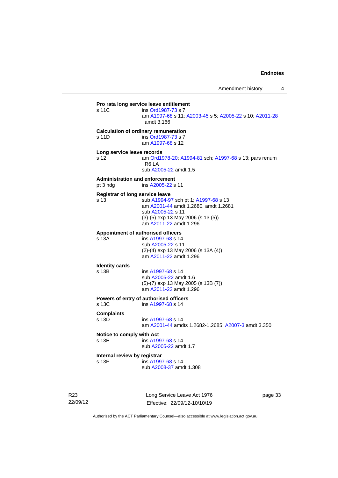**Pro rata long service leave entitlement**<br>s 11C ins Ord1987-73 s 7 ins [Ord1987-73](http://www.legislation.act.gov.au/a/1987-73) s 7 am [A1997-68](http://www.legislation.act.gov.au/a/1997-68) s 11[; A2003-45](http://www.legislation.act.gov.au/a/2003-45) s 5; [A2005-22](http://www.legislation.act.gov.au/a/2005-22) s 10[; A2011-28](http://www.legislation.act.gov.au/a/2011-28) amdt 3.166 **Calculation of ordinary remuneration** s 11D ins [Ord1987-73](http://www.legislation.act.gov.au/a/1987-73) s 7 am [A1997-68](http://www.legislation.act.gov.au/a/1997-68) s 12 **Long service leave records** s 12 am [Ord1978-20;](http://www.legislation.act.gov.au/a/1978-20) [A1994-81](http://www.legislation.act.gov.au/a/1994-81) sch[; A1997-68](http://www.legislation.act.gov.au/a/1997-68) s 13; pars renum R6 LA sub [A2005-22](http://www.legislation.act.gov.au/a/2005-22) amdt 1.5 **Administration and enforcement** pt 3 hdg ins [A2005-22](http://www.legislation.act.gov.au/a/2005-22) s 11 **Registrar of long service leave** s 13 sub [A1994-97](http://www.legislation.act.gov.au/a/1994-97) sch pt 1; [A1997-68](http://www.legislation.act.gov.au/a/1997-68) s 13 am [A2001-44](http://www.legislation.act.gov.au/a/2001-44) amdt 1.2680, amdt 1.2681 sub [A2005-22](http://www.legislation.act.gov.au/a/2005-22) s 11 (3)-(5) exp 13 May 2006 (s 13 (5)) am [A2011-22](http://www.legislation.act.gov.au/a/2011-22) amdt 1.296 **Appointment of authorised officers** s 13A ins [A1997-68](http://www.legislation.act.gov.au/a/1997-68) s 14 sub [A2005-22](http://www.legislation.act.gov.au/a/2005-22) s 11 (2)-(4) exp 13 May 2006 (s 13A (4)) am [A2011-22](http://www.legislation.act.gov.au/a/2011-22) amdt 1.296 **Identity cards**  $ins A1997-68 s 14$  $ins A1997-68 s 14$  $ins A1997-68 s 14$ sub [A2005-22](http://www.legislation.act.gov.au/a/2005-22) amdt 1.6 (5)-(7) exp 13 May 2005 (s 13B (7)) am [A2011-22](http://www.legislation.act.gov.au/a/2011-22) amdt 1.296 **Powers of entry of authorised officers** s 13C ins [A1997-68](http://www.legislation.act.gov.au/a/1997-68) s 14 **Complaints** ins [A1997-68](http://www.legislation.act.gov.au/a/1997-68) s 14 am [A2001-44](http://www.legislation.act.gov.au/a/2001-44) amdts 1.2682-1.2685[; A2007-3](http://www.legislation.act.gov.au/a/2007-3) amdt 3.350 **Notice to comply with Act** s 13E ins [A1997-68](http://www.legislation.act.gov.au/a/1997-68) s 14 sub [A2005-22](http://www.legislation.act.gov.au/a/2005-22) amdt 1.7 **Internal review by registrar** s 13F ins [A1997-68](http://www.legislation.act.gov.au/a/1997-68) s 14 sub [A2008-37](http://www.legislation.act.gov.au/a/2008-37) amdt 1.308

R23 22/09/12 Long Service Leave Act 1976 Effective: 22/09/12-10/10/19

page 33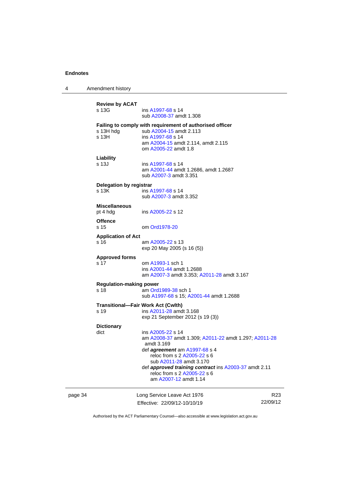4 Amendment history

|         | <b>Review by ACAT</b><br>s 13G                    | ins A1997-68 s 14<br>sub A2008-37 amdt 1.308                                                                                                                                                                                                                                                                |                             |
|---------|---------------------------------------------------|-------------------------------------------------------------------------------------------------------------------------------------------------------------------------------------------------------------------------------------------------------------------------------------------------------------|-----------------------------|
|         | s 13H hdg<br>s 13H                                | Failing to comply with requirement of authorised officer<br>sub A2004-15 amdt 2.113<br>ins A1997-68 s 14<br>am A2004-15 amdt 2.114, amdt 2.115<br>om A2005-22 amdt 1.8                                                                                                                                      |                             |
|         | Liability<br>s 13J                                | ins A1997-68 s 14<br>am A2001-44 amdt 1.2686, amdt 1.2687<br>sub A2007-3 amdt 3.351                                                                                                                                                                                                                         |                             |
|         | Delegation by registrar<br>s 13K                  | ins A1997-68 s 14<br>sub A2007-3 amdt 3.352                                                                                                                                                                                                                                                                 |                             |
|         | <b>Miscellaneous</b><br>pt 4 hdg                  | ins A2005-22 s 12                                                                                                                                                                                                                                                                                           |                             |
|         | <b>Offence</b><br>s 15                            | om Ord1978-20                                                                                                                                                                                                                                                                                               |                             |
|         | <b>Application of Act</b><br>s 16                 | am A2005-22 s 13<br>exp 20 May 2005 (s 16 (5))                                                                                                                                                                                                                                                              |                             |
|         | <b>Approved forms</b><br>s 17                     | om A1993-1 sch 1<br>ins A2001-44 amdt 1.2688<br>am A2007-3 amdt 3.353; A2011-28 amdt 3.167                                                                                                                                                                                                                  |                             |
|         | <b>Regulation-making power</b><br>s 18            | am Ord1989-38 sch 1<br>sub A1997-68 s 15; A2001-44 amdt 1.2688                                                                                                                                                                                                                                              |                             |
|         | <b>Transitional-Fair Work Act (Cwlth)</b><br>s 19 | ins A2011-28 amdt 3.168<br>exp 21 September 2012 (s 19 (3))                                                                                                                                                                                                                                                 |                             |
|         | <b>Dictionary</b><br>dict                         | ins A2005-22 s 14<br>am A2008-37 amdt 1.309; A2011-22 amdt 1.297; A2011-28<br>amdt 3.169<br>def <i>agreement</i> am A1997-68 s 4<br>reloc from s 2 A2005-22 s 6<br>sub A2011-28 amdt 3.170<br>def approved training contract ins A2003-37 amdt 2.11<br>reloc from s 2 A2005-22 s 6<br>am A2007-12 amdt 1.14 |                             |
| page 34 |                                                   | Long Service Leave Act 1976<br>Effective: 22/09/12-10/10/19                                                                                                                                                                                                                                                 | R <sub>23</sub><br>22/09/12 |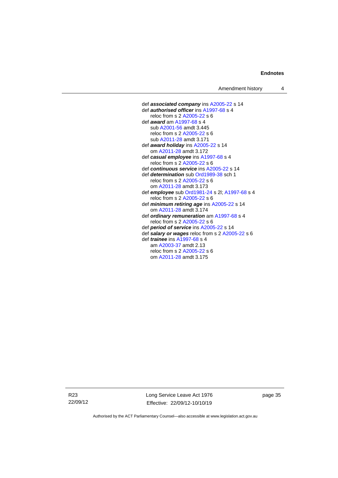def *associated company* ins [A2005-22](http://www.legislation.act.gov.au/a/2005-22) s 14 def *authorised officer* in[s A1997-68](http://www.legislation.act.gov.au/a/1997-68) s 4 reloc from s 2 [A2005-22](http://www.legislation.act.gov.au/a/2005-22) s 6 def *award* a[m A1997-68](http://www.legislation.act.gov.au/a/1997-68) s 4 sub [A2001-56](http://www.legislation.act.gov.au/a/2001-56) amdt 3.445 reloc from s 2 [A2005-22](http://www.legislation.act.gov.au/a/2005-22) s 6 sub [A2011-28](http://www.legislation.act.gov.au/a/2011-28) amdt 3.171 def *award holiday* in[s A2005-22](http://www.legislation.act.gov.au/a/2005-22) s 14 om [A2011-28](http://www.legislation.act.gov.au/a/2011-28) amdt 3.172 def *casual employee* in[s A1997-68](http://www.legislation.act.gov.au/a/1997-68) s 4 reloc from s 2 [A2005-22](http://www.legislation.act.gov.au/a/2005-22) s 6 def *continuous service* in[s A2005-22](http://www.legislation.act.gov.au/a/2005-22) s 14 def *determination* sub [Ord1989-38](http://www.legislation.act.gov.au/a/1989-38) sch 1 reloc from s 2 [A2005-22](http://www.legislation.act.gov.au/a/2005-22) s 6 om [A2011-28](http://www.legislation.act.gov.au/a/2011-28) amdt 3.173 def *employee* sub [Ord1981-24](http://www.legislation.act.gov.au/a/1981-24) s 2l[; A1997-68](http://www.legislation.act.gov.au/a/1997-68) s 4 reloc from s 2 [A2005-22](http://www.legislation.act.gov.au/a/2005-22) s 6 def *minimum retiring age* ins [A2005-22](http://www.legislation.act.gov.au/a/2005-22) s 14 om [A2011-28](http://www.legislation.act.gov.au/a/2011-28) amdt 3.174 def *ordinary remuneration* a[m A1997-68](http://www.legislation.act.gov.au/a/1997-68) s 4 reloc from s 2 [A2005-22](http://www.legislation.act.gov.au/a/2005-22) s 6 def *period of service* in[s A2005-22](http://www.legislation.act.gov.au/a/2005-22) s 14 def *salary or wages* reloc from s 2 [A2005-22](http://www.legislation.act.gov.au/a/2005-22) s 6 def *trainee* ins [A1997-68](http://www.legislation.act.gov.au/a/1997-68) s 4 am [A2003-37](http://www.legislation.act.gov.au/a/2003-37) amdt 2.13 reloc from s 2 [A2005-22](http://www.legislation.act.gov.au/a/2005-22) s 6 om [A2011-28](http://www.legislation.act.gov.au/a/2011-28) amdt 3.175

R23 22/09/12 Long Service Leave Act 1976 Effective: 22/09/12-10/10/19

page 35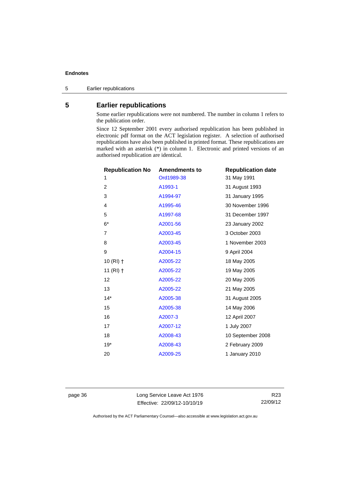5 Earlier republications

# <span id="page-41-0"></span>**5 Earlier republications**

Some earlier republications were not numbered. The number in column 1 refers to the publication order.

Since 12 September 2001 every authorised republication has been published in electronic pdf format on the ACT legislation register. A selection of authorised republications have also been published in printed format. These republications are marked with an asterisk (\*) in column 1. Electronic and printed versions of an authorised republication are identical.

| <b>Republication No</b> | <b>Amendments to</b> | <b>Republication date</b> |
|-------------------------|----------------------|---------------------------|
| 1                       | Ord1989-38           | 31 May 1991               |
| $\overline{2}$          | A1993-1              | 31 August 1993            |
| 3                       | A1994-97             | 31 January 1995           |
| 4                       | A1995-46             | 30 November 1996          |
| 5                       | A1997-68             | 31 December 1997          |
| $6*$                    | A2001-56             | 23 January 2002           |
| 7                       | A2003-45             | 3 October 2003            |
| 8                       | A2003-45             | 1 November 2003           |
| 9                       | A2004-15             | 9 April 2004              |
| $10(RI)$ †              | A2005-22             | 18 May 2005               |
| 11 $(RI)$ †             | A2005-22             | 19 May 2005               |
| 12                      | A2005-22             | 20 May 2005               |
| 13                      | A2005-22             | 21 May 2005               |
| $14*$                   | A2005-38             | 31 August 2005            |
| 15                      | A2005-38             | 14 May 2006               |
| 16                      | A2007-3              | 12 April 2007             |
| 17                      | A2007-12             | 1 July 2007               |
| 18                      | A2008-43             | 10 September 2008         |
| $19*$                   | A2008-43             | 2 February 2009           |
| 20                      | A2009-25             | 1 January 2010            |

page 36 Long Service Leave Act 1976 Effective: 22/09/12-10/10/19

R23 22/09/12